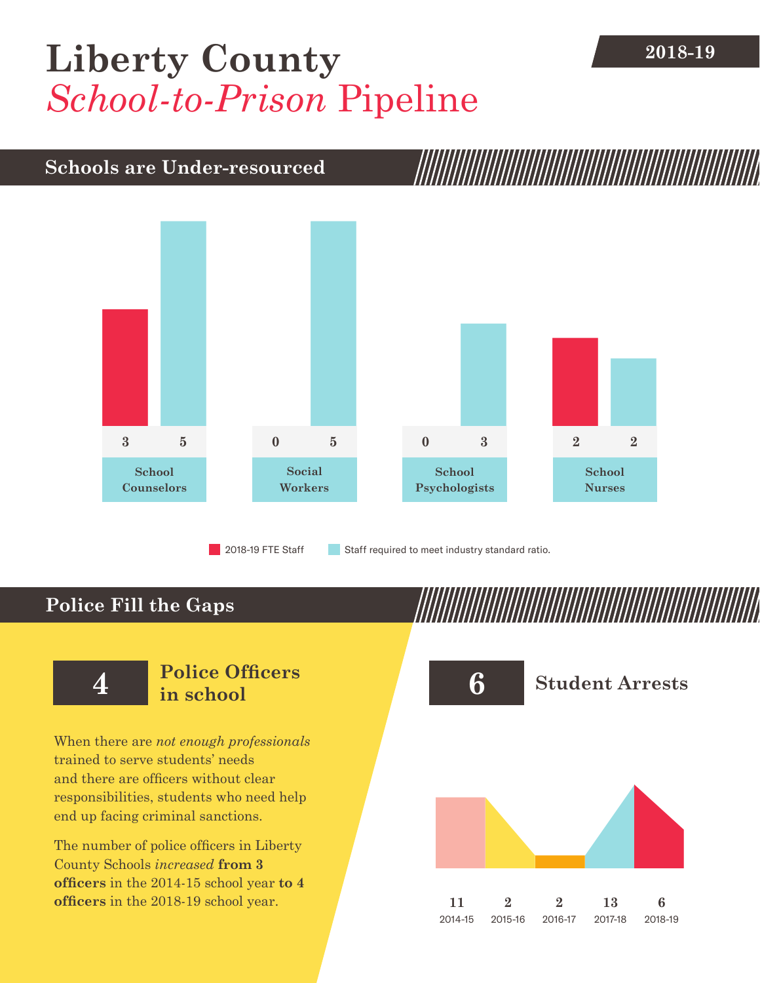## **2018-19 [Liberty County](DBF_County)** *School-to-Prison* Pipeline

### **Schools are Under-resourced**



2018-19 FTE Staff **Staff required to meet industry standard ratio.** 

### **Police Fill the Gaps**

When there are *not enough professionals* trained to serve students' needs and there are officers without clear responsibilities, students who need help end up facing criminal sanctions.

The number of police officers in [Liberty](DBF_County)  [County](DBF_County) Schools *increased* **from [3](DBF_PO1415) officers** in the 2014-15 school year **to [4](DBF_PO) officers** in the 2018-19 school year.